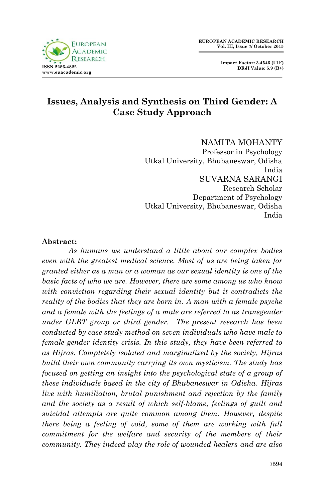**Impact Factor: 3.4546 (UIF) DRJI Value: 5.9 (B+)**



# **Issues, Analysis and Synthesis on Third Gender: A Case Study Approach**

#### NAMITA MOHANTY

Professor in Psychology Utkal University, Bhubaneswar, Odisha India SUVARNA SARANGI Research Scholar Department of Psychology Utkal University, Bhubaneswar, Odisha India

#### **Abstract:**

*As humans we understand a little about our complex bodies even with the greatest medical science. Most of us are being taken for granted either as a man or a woman as our sexual identity is one of the basic facts of who we are. However, there are some among us who know with conviction regarding their sexual identity but it contradicts the reality of the bodies that they are born in. A man with a female psyche and a female with the feelings of a male are referred to as transgender under GLBT group or third gender. The present research has been conducted by case study method on seven individuals who have male to female gender identity crisis. In this study, they have been referred to as Hijras. Completely isolated and marginalized by the society, Hijras build their own community carrying its own mysticism. The study has focused on getting an insight into the psychological state of a group of these individuals based in the city of Bhubaneswar in Odisha. Hijras live with humiliation, brutal punishment and rejection by the family and the society as a result of which self-blame, feelings of guilt and suicidal attempts are quite common among them. However, despite there being a feeling of void, some of them are working with full commitment for the welfare and security of the members of their community. They indeed play the role of wounded healers and are also*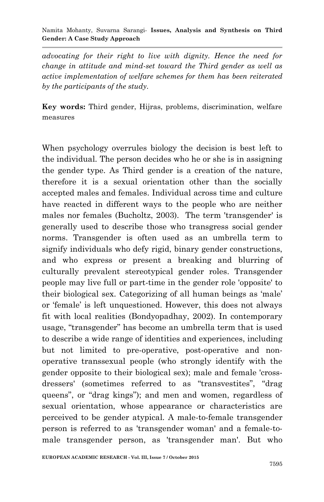#### Namita Mohanty, Suvarna Sarangi*-* **Issues, Analysis and Synthesis on Third Gender: A Case Study Approach**

*advocating for their right to live with dignity. Hence the need for change in attitude and mind-set toward the Third gender as well as active implementation of welfare schemes for them has been reiterated by the participants of the study.*

**Key words:** Third gender, Hijras, problems, discrimination, welfare measures

When psychology overrules biology the decision is best left to the individual. The person decides who he or she is in assigning the gender type. As Third gender is a creation of the nature, therefore it is a sexual orientation other than the socially accepted males and females. Individual across time and culture have reacted in different ways to the people who are neither males nor females (Bucholtz, 2003). The term 'transgender' is generally used to describe those who transgress social gender norms. Transgender is often used as an umbrella term to signify individuals who defy rigid, binary gender constructions, and who express or present a breaking and blurring of culturally prevalent stereotypical gender roles. Transgender people may live full or part-time in the gender role 'opposite' to their biological sex. Categorizing of all human beings as "male" or "female" is left unquestioned. However, this does not always fit with local realities (Bondyopadhay, 2002). In contemporary usage, "transgender" has become an umbrella term that is used to describe a wide range of identities and experiences, including but not limited to pre-operative, post-operative and nonoperative transsexual people (who strongly identify with the gender opposite to their biological sex); male and female 'crossdressers' (sometimes referred to as "transvestites", "drag queens", or "drag kings"); and men and women, regardless of sexual orientation, whose appearance or characteristics are perceived to be gender atypical. A male-to-female transgender person is referred to as 'transgender woman' and a female-tomale transgender person, as 'transgender man'. But who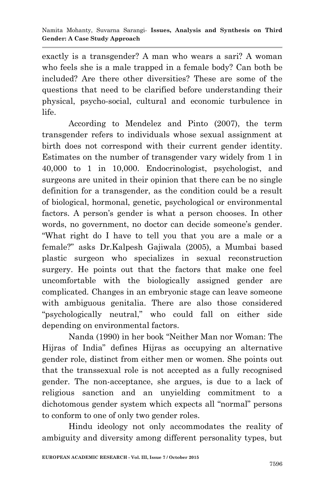exactly is a transgender? A man who wears a sari? A woman who feels she is a male trapped in a female body? Can both be included? Are there other diversities? These are some of the questions that need to be clarified before understanding their physical, psycho-social, cultural and economic turbulence in life.

According to Mendelez and Pinto (2007), the term transgender refers to individuals whose sexual assignment at birth does not correspond with their current gender identity. Estimates on the number of transgender vary widely from 1 in 40,000 to 1 in 10,000. Endocrinologist, psychologist, and surgeons are united in their opinion that there can be no single definition for a transgender, as the condition could be a result of biological, hormonal, genetic, psychological or environmental factors. A person's gender is what a person chooses. In other words, no government, no doctor can decide someone's gender. "What right do I have to tell you that you are a male or a female?" asks Dr.Kalpesh Gajiwala (2005), a Mumbai based plastic surgeon who specializes in sexual reconstruction surgery. He points out that the factors that make one feel uncomfortable with the biologically assigned gender are complicated. Changes in an embryonic stage can leave someone with ambiguous genitalia. There are also those considered "psychologically neutral," who could fall on either side depending on environmental factors.

Nanda (1990) in her book "Neither Man nor Woman: The Hijras of India" defines Hijras as occupying an alternative gender role, distinct from either men or women. She points out that the transsexual role is not accepted as a fully recognised gender. The non-acceptance, she argues, is due to a lack of religious sanction and an unyielding commitment to a dichotomous gender system which expects all "normal" persons to conform to one of only two gender roles.

Hindu ideology not only accommodates the reality of ambiguity and diversity among different personality types, but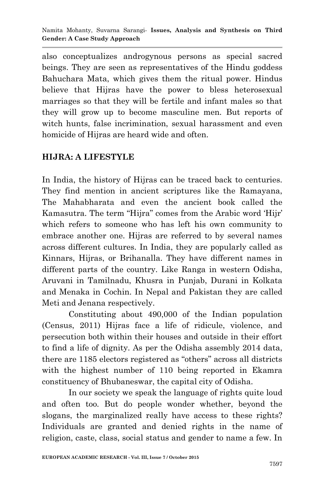also conceptualizes androgynous persons as special sacred beings. They are seen as representatives of the Hindu goddess Bahuchara Mata, which gives them the ritual power. Hindus believe that Hijras have the power to bless heterosexual marriages so that they will be fertile and infant males so that they will grow up to become masculine men. But reports of witch hunts, false incrimination, sexual harassment and even homicide of Hijras are heard wide and often.

# **HIJRA: A LIFESTYLE**

In India, the history of Hijras can be traced back to centuries. They find mention in ancient scriptures like the Ramayana, The Mahabharata and even the ancient book called the Kamasutra. The term "Hijra" comes from the Arabic word "Hijr" which refers to someone who has left his own community to embrace another one. Hijras are referred to by several names across different cultures. In India, they are popularly called as Kinnars, Hijras, or Brihanalla. They have different names in different parts of the country. Like Ranga in western Odisha, Aruvani in Tamilnadu, Khusra in Punjab, Durani in Kolkata and Menaka in Cochin. In Nepal and Pakistan they are called Meti and Jenana respectively.

Constituting about 490,000 of the Indian population (Census, 2011) Hijras face a life of ridicule, violence, and persecution both within their houses and outside in their effort to find a life of dignity. As per the Odisha assembly 2014 data, there are 1185 electors registered as "others" across all districts with the highest number of 110 being reported in Ekamra constituency of Bhubaneswar, the capital city of Odisha.

In our society we speak the language of rights quite loud and often too. But do people wonder whether, beyond the slogans, the marginalized really have access to these rights? Individuals are granted and denied rights in the name of religion, caste, class, social status and gender to name a few. In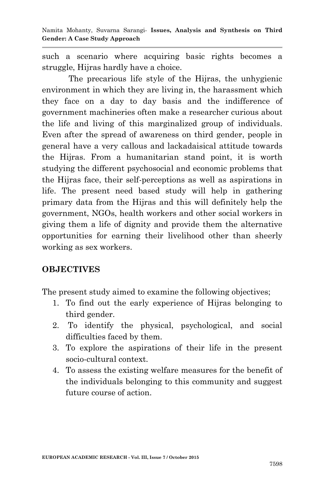such a scenario where acquiring basic rights becomes a struggle, Hijras hardly have a choice.

The precarious life style of the Hijras, the unhygienic environment in which they are living in, the harassment which they face on a day to day basis and the indifference of government machineries often make a researcher curious about the life and living of this marginalized group of individuals. Even after the spread of awareness on third gender, people in general have a very callous and lackadaisical attitude towards the Hijras. From a humanitarian stand point, it is worth studying the different psychosocial and economic problems that the Hijras face, their self-perceptions as well as aspirations in life. The present need based study will help in gathering primary data from the Hijras and this will definitely help the government, NGOs, health workers and other social workers in giving them a life of dignity and provide them the alternative opportunities for earning their livelihood other than sheerly working as sex workers.

#### **OBJECTIVES**

The present study aimed to examine the following objectives;

- 1. To find out the early experience of Hijras belonging to third gender.
- 2. To identify the physical, psychological, and social difficulties faced by them.
- 3. To explore the aspirations of their life in the present socio-cultural context.
- 4. To assess the existing welfare measures for the benefit of the individuals belonging to this community and suggest future course of action.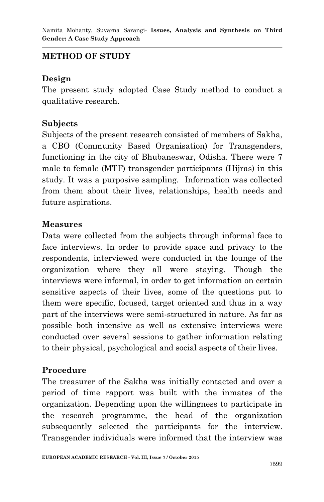# **METHOD OF STUDY**

## **Design**

The present study adopted Case Study method to conduct a qualitative research.

#### **Subjects**

Subjects of the present research consisted of members of Sakha, a CBO (Community Based Organisation) for Transgenders, functioning in the city of Bhubaneswar, Odisha. There were 7 male to female (MTF) transgender participants (Hijras) in this study. It was a purposive sampling. Information was collected from them about their lives, relationships, health needs and future aspirations.

#### **Measures**

Data were collected from the subjects through informal face to face interviews. In order to provide space and privacy to the respondents, interviewed were conducted in the lounge of the organization where they all were staying. Though the interviews were informal, in order to get information on certain sensitive aspects of their lives, some of the questions put to them were specific, focused, target oriented and thus in a way part of the interviews were semi-structured in nature. As far as possible both intensive as well as extensive interviews were conducted over several sessions to gather information relating to their physical, psychological and social aspects of their lives.

## **Procedure**

The treasurer of the Sakha was initially contacted and over a period of time rapport was built with the inmates of the organization. Depending upon the willingness to participate in the research programme, the head of the organization subsequently selected the participants for the interview. Transgender individuals were informed that the interview was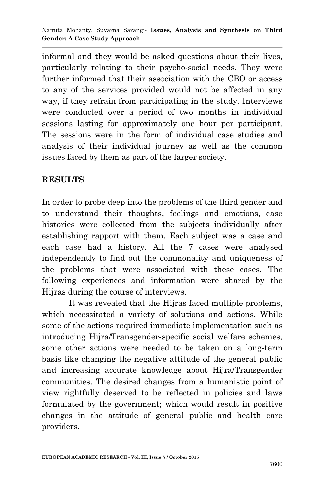informal and they would be asked questions about their lives, particularly relating to their psycho-social needs. They were further informed that their association with the CBO or access to any of the services provided would not be affected in any way, if they refrain from participating in the study. Interviews were conducted over a period of two months in individual sessions lasting for approximately one hour per participant. The sessions were in the form of individual case studies and analysis of their individual journey as well as the common issues faced by them as part of the larger society.

## **RESULTS**

In order to probe deep into the problems of the third gender and to understand their thoughts, feelings and emotions, case histories were collected from the subjects individually after establishing rapport with them. Each subject was a case and each case had a history. All the 7 cases were analysed independently to find out the commonality and uniqueness of the problems that were associated with these cases. The following experiences and information were shared by the Hijras during the course of interviews.

It was revealed that the Hijras faced multiple problems, which necessitated a variety of solutions and actions. While some of the actions required immediate implementation such as introducing Hijra/Transgender-specific social welfare schemes, some other actions were needed to be taken on a long-term basis like changing the negative attitude of the general public and increasing accurate knowledge about Hijra/Transgender communities. The desired changes from a humanistic point of view rightfully deserved to be reflected in policies and laws formulated by the government; which would result in positive changes in the attitude of general public and health care providers.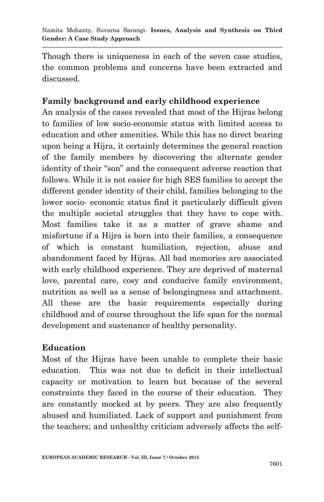Though there is uniqueness in each of the seven case studies, the common problems and concerns have been extracted and discussed.

# **Family background and early childhood experience**

An analysis of the cases revealed that most of the Hijras belong to families of low socio-economic status with limited access to education and other amenities. While this has no direct bearing upon being a Hijra, it certainly determines the general reaction of the family members by discovering the alternate gender identity of their "son" and the consequent adverse reaction that follows. While it is not easier for high SES families to accept the different gender identity of their child, families belonging to the lower socio- economic status find it particularly difficult given the multiple societal struggles that they have to cope with. Most families take it as a matter of grave shame and misfortune if a Hijra is born into their families, a consequence of which is constant humiliation, rejection, abuse and abandonment faced by Hijras. All bad memories are associated with early childhood experience. They are deprived of maternal love, parental care, cosy and conducive family environment, nutrition as well as a sense of belongingness and attachment. All these are the basic requirements especially during childhood and of course throughout the life span for the normal development and sustenance of healthy personality.

## **Education**

Most of the Hijras have been unable to complete their basic education. This was not due to deficit in their intellectual capacity or motivation to learn but because of the several constraints they faced in the course of their education. They are constantly mocked at by peers. They are also frequently abused and humiliated. Lack of support and punishment from the teachers; and unhealthy criticism adversely affects the self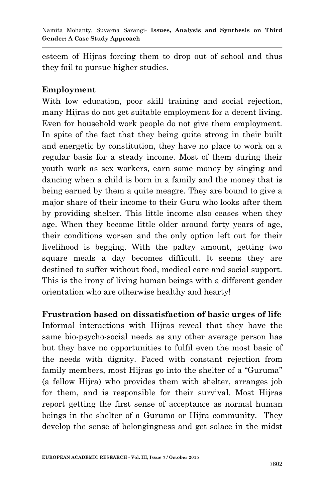esteem of Hijras forcing them to drop out of school and thus they fail to pursue higher studies.

#### **Employment**

With low education, poor skill training and social rejection, many Hijras do not get suitable employment for a decent living. Even for household work people do not give them employment. In spite of the fact that they being quite strong in their built and energetic by constitution, they have no place to work on a regular basis for a steady income. Most of them during their youth work as sex workers, earn some money by singing and dancing when a child is born in a family and the money that is being earned by them a quite meagre. They are bound to give a major share of their income to their Guru who looks after them by providing shelter. This little income also ceases when they age. When they become little older around forty years of age, their conditions worsen and the only option left out for their livelihood is begging. With the paltry amount, getting two square meals a day becomes difficult. It seems they are destined to suffer without food, medical care and social support. This is the irony of living human beings with a different gender orientation who are otherwise healthy and hearty!

**Frustration based on dissatisfaction of basic urges of life** Informal interactions with Hijras reveal that they have the same bio-psycho-social needs as any other average person has but they have no opportunities to fulfil even the most basic of the needs with dignity. Faced with constant rejection from family members, most Hijras go into the shelter of a "Guruma" (a fellow Hijra) who provides them with shelter, arranges job for them, and is responsible for their survival. Most Hijras report getting the first sense of acceptance as normal human beings in the shelter of a Guruma or Hijra community. They develop the sense of belongingness and get solace in the midst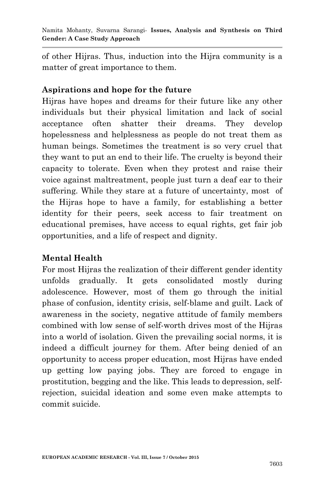of other Hijras. Thus, induction into the Hijra community is a matter of great importance to them.

#### **Aspirations and hope for the future**

Hijras have hopes and dreams for their future like any other individuals but their physical limitation and lack of social acceptance often shatter their dreams. They develop hopelessness and helplessness as people do not treat them as human beings. Sometimes the treatment is so very cruel that they want to put an end to their life. The cruelty is beyond their capacity to tolerate. Even when they protest and raise their voice against maltreatment, people just turn a deaf ear to their suffering. While they stare at a future of uncertainty, most of the Hijras hope to have a family, for establishing a better identity for their peers, seek access to fair treatment on educational premises, have access to equal rights, get fair job opportunities, and a life of respect and dignity.

## **Mental Health**

For most Hijras the realization of their different gender identity unfolds gradually. It gets consolidated mostly during adolescence. However, most of them go through the initial phase of confusion, identity crisis, self-blame and guilt. Lack of awareness in the society, negative attitude of family members combined with low sense of self-worth drives most of the Hijras into a world of isolation. Given the prevailing social norms, it is indeed a difficult journey for them. After being denied of an opportunity to access proper education, most Hijras have ended up getting low paying jobs. They are forced to engage in prostitution, begging and the like. This leads to depression, selfrejection, suicidal ideation and some even make attempts to commit suicide.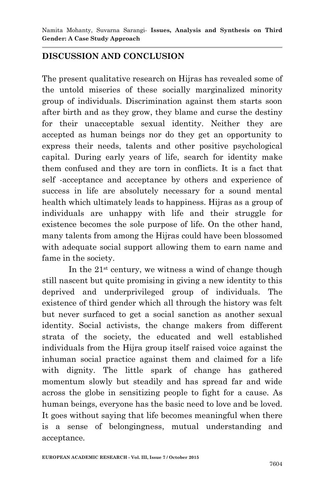## **DISCUSSION AND CONCLUSION**

The present qualitative research on Hijras has revealed some of the untold miseries of these socially marginalized minority group of individuals. Discrimination against them starts soon after birth and as they grow, they blame and curse the destiny for their unacceptable sexual identity. Neither they are accepted as human beings nor do they get an opportunity to express their needs, talents and other positive psychological capital. During early years of life, search for identity make them confused and they are torn in conflicts. It is a fact that self -acceptance and acceptance by others and experience of success in life are absolutely necessary for a sound mental health which ultimately leads to happiness. Hijras as a group of individuals are unhappy with life and their struggle for existence becomes the sole purpose of life. On the other hand, many talents from among the Hijras could have been blossomed with adequate social support allowing them to earn name and fame in the society.

In the  $21<sup>st</sup>$  century, we witness a wind of change though still nascent but quite promising in giving a new identity to this deprived and underprivileged group of individuals. The existence of third gender which all through the history was felt but never surfaced to get a social sanction as another sexual identity. Social activists, the change makers from different strata of the society, the educated and well established individuals from the Hijra group itself raised voice against the inhuman social practice against them and claimed for a life with dignity. The little spark of change has gathered momentum slowly but steadily and has spread far and wide across the globe in sensitizing people to fight for a cause. As human beings, everyone has the basic need to love and be loved. It goes without saying that life becomes meaningful when there is a sense of belongingness, mutual understanding and acceptance.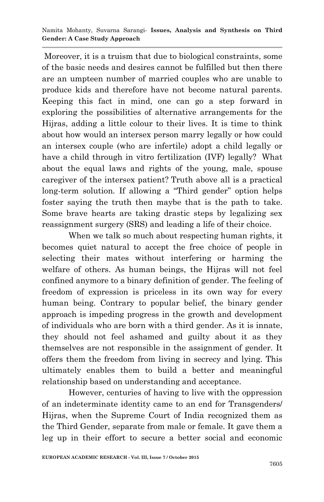Moreover, it is a truism that due to biological constraints, some of the basic needs and desires cannot be fulfilled but then there are an umpteen number of married couples who are unable to produce kids and therefore have not become natural parents. Keeping this fact in mind, one can go a step forward in exploring the possibilities of alternative arrangements for the Hijras, adding a little colour to their lives. It is time to think about how would an intersex person marry legally or how could an intersex couple (who are infertile) adopt a child legally or have a child through in vitro fertilization (IVF) legally? What about the equal laws and rights of the young, male, spouse caregiver of the intersex patient? Truth above all is a practical long-term solution. If allowing a "Third gender" option helps foster saying the truth then maybe that is the path to take. Some brave hearts are taking drastic steps by legalizing sex reassignment surgery (SRS) and leading a life of their choice.

When we talk so much about respecting human rights, it becomes quiet natural to accept the free choice of people in selecting their mates without interfering or harming the welfare of others. As human beings, the Hijras will not feel confined anymore to a binary definition of gender. The feeling of freedom of expression is priceless in its own way for every human being. Contrary to popular belief, the binary gender approach is impeding progress in the growth and development of individuals who are born with a third gender. As it is innate, they should not feel ashamed and guilty about it as they themselves are not responsible in the assignment of gender. It offers them the freedom from living in secrecy and lying. This ultimately enables them to build a better and meaningful relationship based on understanding and acceptance.

However, centuries of having to live with the oppression of an indeterminate identity came to an end for Transgenders/ Hijras, when the Supreme Court of India recognized them as the Third Gender, separate from male or female. It gave them a leg up in their effort to secure a better social and economic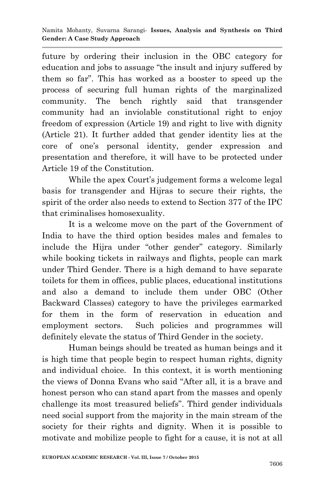future by ordering their inclusion in the OBC category for education and jobs to assuage "the insult and injury suffered by them so far". This has worked as a booster to speed up the process of securing full human rights of the marginalized community. The bench rightly said that transgender community had an inviolable constitutional right to enjoy freedom of expression (Article 19) and right to live with dignity (Article 21). It further added that gender identity lies at the core of one"s personal identity, gender expression and presentation and therefore, it will have to be protected under Article 19 of the Constitution.

While the apex Court's judgement forms a welcome legal basis for transgender and Hijras to secure their rights, the spirit of the order also needs to extend to Section 377 of the IPC that criminalises homosexuality.

It is a welcome move on the part of the Government of India to have the third option besides males and females to include the Hijra under "other gender" category. Similarly while booking tickets in railways and flights, people can mark under Third Gender. There is a high demand to have separate toilets for them in offices, public places, educational institutions and also a demand to include them under OBC (Other Backward Classes) category to have the privileges earmarked for them in the form of reservation in education and employment sectors. Such policies and programmes will definitely elevate the status of Third Gender in the society.

Human beings should be treated as human beings and it is high time that people begin to respect human rights, dignity and individual choice. In this context, it is worth mentioning the views of Donna Evans who said "After all, it is a brave and honest person who can stand apart from the masses and openly challenge its most treasured beliefs". Third gender individuals need social support from the majority in the main stream of the society for their rights and dignity. When it is possible to motivate and mobilize people to fight for a cause, it is not at all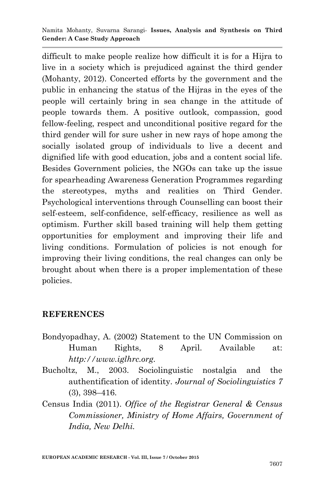difficult to make people realize how difficult it is for a Hijra to live in a society which is prejudiced against the third gender (Mohanty, 2012). Concerted efforts by the government and the public in enhancing the status of the Hijras in the eyes of the people will certainly bring in sea change in the attitude of people towards them. A positive outlook, compassion, good fellow-feeling, respect and unconditional positive regard for the third gender will for sure usher in new rays of hope among the socially isolated group of individuals to live a decent and dignified life with good education, jobs and a content social life. Besides Government policies, the NGOs can take up the issue for spearheading Awareness Generation Programmes regarding the stereotypes, myths and realities on Third Gender. Psychological interventions through Counselling can boost their self-esteem, self-confidence, self-efficacy, resilience as well as optimism. Further skill based training will help them getting opportunities for employment and improving their life and living conditions. Formulation of policies is not enough for improving their living conditions, the real changes can only be brought about when there is a proper implementation of these policies.

## **REFERENCES**

Bondyopadhay, A. (2002) Statement to the UN Commission on Human Rights, 8 April. Available at: *http://www.iglhrc.org.*

Bucholtz, M., 2003. Sociolinguistic nostalgia and the authentification of identity. *Journal of Sociolinguistics 7* (3), 398–416.

Census India (2011). *Office of the Registrar General & Census Commissioner, Ministry of Home Affairs, Government of India, New Delhi.*